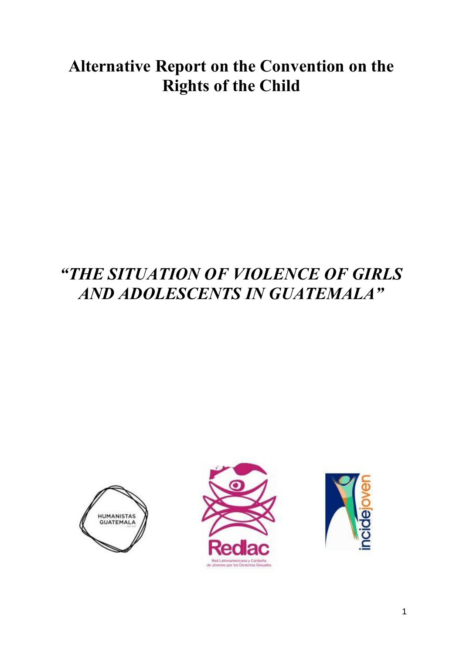# **Alternative Report on the Convention on the Rights of the Child**

# *"THE SITUATION OF VIOLENCE OF GIRLS AND ADOLESCENTS IN GUATEMALA"*





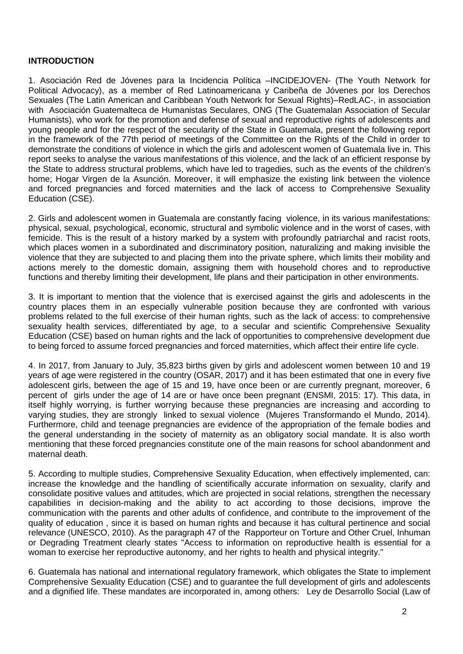#### **INTRODUCTION**

1. Asociación Red de Jóvenes para la Incidencia Política –INCIDEJOVEN- (The Youth Network for Political Advocacy), as a member of Red Latinoamericana y Caribeña de Jóvenes por los Derechos Sexuales (The Latin American and Caribbean Youth Network for Sexual Rights)–RedLAC-, in association with Asociación Guatemalteca de Humanistas Seculares, ONG (The Guatemalan Association of Secular Humanists), who work for the promotion and defense of sexual and reproductive rights of adolescents and young people and for the respect of the secularity of the State in Guatemala, present the following report in the framework of the 77th period of meetings of the Committee on the Rights of the Child in order to demonstrate the conditions of violence in which the girls and adolescent women of Guatemala live in. This report seeks to analyse the various manifestations of this violence, and the lack of an efficient response by the State to address structural problems, which have led to tragedies, such as the events of the children's home; Hogar Virgen de la Asunción. Moreover, it will emphasize the existing link between the violence and forced pregnancies and forced maternities and the lack of access to Comprehensive Sexuality Education (CSE).

2. Girls and adolescent women in Guatemala are constantly facing violence, in its various manifestations: physical, sexual, psychological, economic, structural and symbolic violence and in the worst of cases, with femicide. This is the result of a history marked by a system with profoundly patriarchal and racist roots, which places women in a subordinated and discriminatory position, naturalizing and making invisible the violence that they are subjected to and placing them into the private sphere, which limits their mobility and actions merely to the domestic domain, assigning them with household chores and to reproductive functions and thereby limiting their development, life plans and their participation in other environments.

3. It is important to mention that the violence that is exercised against the girls and adolescents in the country places them in an especially vulnerable position because they are confronted with various problems related to the full exercise of their human rights, such as the lack of access: to comprehensive sexuality health services, differentiated by age, to a secular and scientific Comprehensive Sexuality Education (CSE) based on human rights and the lack of opportunities to comprehensive development due to being forced to assume forced pregnancies and forced maternities, which affect their entire life cycle.

4. In 2017, from January to July, 35,823 births given by girls and adolescent women between 10 and 19 years of age were registered in the country (OSAR, 2017) and it has been estimated that one in every five adolescent girls, between the age of 15 and 19, have once been or are currently pregnant, moreover, 6 percent of girls under the age of 14 are or have once been pregnant (ENSMI, 2015: 17). This data, in itself highly worrying, is further worrying because these pregnancies are increasing and according to varying studies, they are strongly linked to sexual violence (Mujeres Transformando el Mundo, 2014). Furthermore, child and teenage pregnancies are evidence of the appropriation of the female bodies and the general understanding in the society of maternity as an obligatory social mandate. It is also worth mentioning that these forced pregnancies constitute one of the main reasons for school abandonment and maternal death.

5. According to multiple studies, Comprehensive Sexuality Education, when effectively implemented, can: increase the knowledge and the handling of scientifically accurate information on sexuality, clarify and consolidate positive values and attitudes, which are projected in social relations, strengthen the necessary capabilities in decision-making and the ability to act according to those decisions, improve the communication with the parents and other adults of confidence, and contribute to the improvement of the quality of education , since it is based on human rights and because it has cultural pertinence and social relevance (UNESCO, 2010). As the paragraph 47 of the Rapporteur on Torture and Other Cruel, Inhuman or Degrading Treatment clearly states "Access to information on reproductive health is essential for a woman to exercise her reproductive autonomy, and her rights to health and physical integrity."

6. Guatemala has national and international regulatory framework, which obligates the State to implement Comprehensive Sexuality Education (CSE) and to guarantee the full development of girls and adolescents and a dignified life. These mandates are incorporated in, among others: Ley de Desarrollo Social (Law of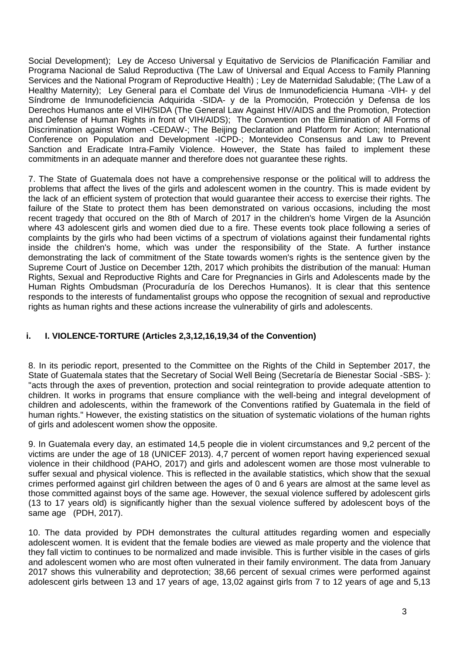Social Development); Ley de Acceso Universal y Equitativo de Servicios de Planificación Familiar and Programa Nacional de Salud Reproductiva (The Law of Universal and Equal Access to Family Planning Services and the National Program of Reproductive Health) ; Ley de Maternidad Saludable; (The Law of a Healthy Maternity); Ley General para el Combate del Virus de Inmunodeficiencia Humana -VIH- y del Síndrome de Inmunodeficiencia Adquirida -SIDA- y de la Promoción, Protección y Defensa de los Derechos Humanos ante el VIH/SIDA (The General Law Against HIV/AIDS and the Promotion, Protection and Defense of Human Rights in front of VIH/AIDS); The Convention on the Elimination of All Forms of Discrimination against Women -CEDAW-; The Beijing Declaration and Platform for Action; International Conference on Population and Development -ICPD-; Montevideo Consensus and Law to Prevent Sanction and Eradicate Intra-Family Violence. However, the State has failed to implement these commitments in an adequate manner and therefore does not guarantee these rights.

7. The State of Guatemala does not have a comprehensive response or the political will to address the problems that affect the lives of the girls and adolescent women in the country. This is made evident by the lack of an efficient system of protection that would guarantee their access to exercise their rights. The failure of the State to protect them has been demonstrated on various occasions, including the most recent tragedy that occured on the 8th of March of 2017 in the children's home Virgen de la Asunción where 43 adolescent girls and women died due to a fire. These events took place following a series of complaints by the girls who had been victims of a spectrum of violations against their fundamental rights inside the children's home, which was under the responsibility of the State. A further instance demonstrating the lack of commitment of the State towards women's rights is the sentence given by the Supreme Court of Justice on December 12th, 2017 which prohibits the distribution of the manual: Human Rights, Sexual and Reproductive Rights and Care for Pregnancies in Girls and Adolescents made by the Human Rights Ombudsman (Procuraduría de los Derechos Humanos). It is clear that this sentence responds to the interests of fundamentalist groups who oppose the recognition of sexual and reproductive rights as human rights and these actions increase the vulnerability of girls and adolescents.

## **i. I. VIOLENCE-TORTURE (Articles 2,3,12,16,19,34 of the Convention)**

8. In its periodic report, presented to the Committee on the Rights of the Child in September 2017, the State of Guatemala states that the Secretary of Social Well Being (Secretaría de Bienestar Social -SBS- ): "acts through the axes of prevention, protection and social reintegration to provide adequate attention to children. It works in programs that ensure compliance with the well-being and integral development of children and adolescents, within the framework of the Conventions ratified by Guatemala in the field of human rights." However, the existing statistics on the situation of systematic violations of the human rights of girls and adolescent women show the opposite.

9. In Guatemala every day, an estimated 14,5 people die in violent circumstances and 9,2 percent of the victims are under the age of 18 (UNICEF 2013). 4,7 percent of women report having experienced sexual violence in their childhood (PAHO, 2017) and girls and adolescent women are those most vulnerable to suffer sexual and physical violence. This is reflected in the available statistics, which show that the sexual crimes performed against girl children between the ages of 0 and 6 years are almost at the same level as those committed against boys of the same age. However, the sexual violence suffered by adolescent girls (13 to 17 years old) is significantly higher than the sexual violence suffered by adolescent boys of the same age (PDH, 2017).

10. The data provided by PDH demonstrates the cultural attitudes regarding women and especially adolescent women. It is evident that the female bodies are viewed as male property and the violence that they fall victim to continues to be normalized and made invisible. This is further visible in the cases of girls and adolescent women who are most often vulnerated in their family environment. The data from January 2017 shows this vulnerability and deprotection; 38,66 percent of sexual crimes were performed against adolescent girls between 13 and 17 years of age, 13,02 against girls from 7 to 12 years of age and 5,13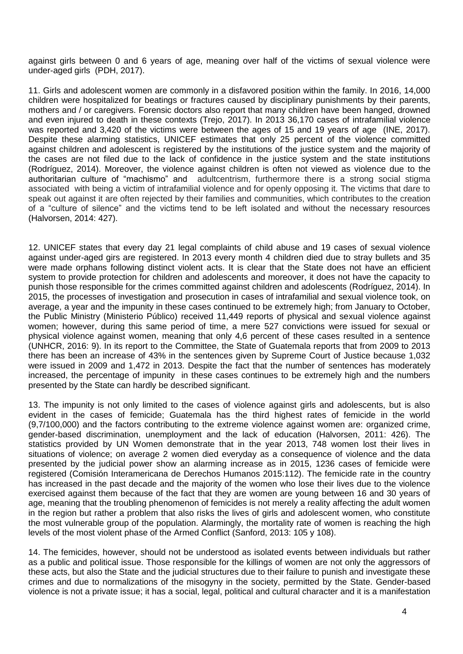against girls between 0 and 6 years of age, meaning over half of the victims of sexual violence were under-aged girls (PDH, 2017).

11. Girls and adolescent women are commonly in a disfavored position within the family. In 2016, 14,000 children were hospitalized for beatings or fractures caused by disciplinary punishments by their parents, mothers and / or caregivers. Forensic doctors also report that many children have been hanged, drowned and even injured to death in these contexts (Trejo, 2017). In 2013 36,170 cases of intrafamilial violence was reported and 3,420 of the victims were between the ages of 15 and 19 years of age (INE, 2017). Despite these alarming statistics, UNICEF estimates that only 25 percent of the violence committed against children and adolescent is registered by the institutions of the justice system and the majority of the cases are not filed due to the lack of confidence in the justice system and the state institutions (Rodríguez, 2014). Moreover, the violence against children is often not viewed as violence due to the authoritarian culture of "machismo" and adultcentrism, furthermore there is a strong social stigma associated with being a victim of intrafamilial violence and for openly opposing it. The victims that dare to speak out against it are often rejected by their families and communities, which contributes to the creation of a "culture of silence" and the victims tend to be left isolated and without the necessary resources (Halvorsen, 2014: 427).

12. UNICEF states that every day 21 legal complaints of child abuse and 19 cases of sexual violence against under-aged girs are registered. In 2013 every month 4 children died due to stray bullets and 35 were made orphans following distinct violent acts. It is clear that the State does not have an efficient system to provide protection for children and adolescents and moreover, it does not have the capacity to punish those responsible for the crimes committed against children and adolescents (Rodríguez, 2014). In 2015, the processes of investigation and prosecution in cases of intrafamilial and sexual violence took, on average, a year and the impunity in these cases continued to be extremely high; from January to October, the Public Ministry (Ministerio Público) received 11,449 reports of physical and sexual violence against women; however, during this same period of time, a mere 527 convictions were issued for sexual or physical violence against women, meaning that only 4,6 percent of these cases resulted in a sentence (UNHCR, 2016: 9). In its report to the Committee, the State of Guatemala reports that from 2009 to 2013 there has been an increase of 43% in the sentences given by Supreme Court of Justice because 1,032 were issued in 2009 and 1,472 in 2013. Despite the fact that the number of sentences has moderately increased, the percentage of impunity in these cases continues to be extremely high and the numbers presented by the State can hardly be described significant.

13. The impunity is not only limited to the cases of violence against girls and adolescents, but is also evident in the cases of femicide; Guatemala has the third highest rates of femicide in the world (9,7/100,000) and the factors contributing to the extreme violence against women are: organized crime, gender-based discrimination, unemployment and the lack of education (Halvorsen, 2011: 426). The statistics provided by UN Women demonstrate that in the year 2013, 748 women lost their lives in situations of violence; on average 2 women died everyday as a consequence of violence and the data presented by the judicial power show an alarming increase as in 2015, 1236 cases of femicide were registered (Comisión Interamericana de Derechos Humanos 2015:112). The femicide rate in the country has increased in the past decade and the majority of the women who lose their lives due to the violence exercised against them because of the fact that they are women are young between 16 and 30 years of age, meaning that the troubling phenomenon of femicides is not merely a reality affecting the adult women in the region but rather a problem that also risks the lives of girls and adolescent women, who constitute the most vulnerable group of the population. Alarmingly, the mortality rate of women is reaching the high levels of the most violent phase of the Armed Conflict (Sanford, 2013: 105 y 108).

14. The femicides, however, should not be understood as isolated events between individuals but rather as a public and political issue. Those responsible for the killings of women are not only the aggressors of these acts, but also the State and the judicial structures due to their failure to punish and investigate these crimes and due to normalizations of the misogyny in the society, permitted by the State. Gender-based violence is not a private issue; it has a social, legal, political and cultural character and it is a manifestation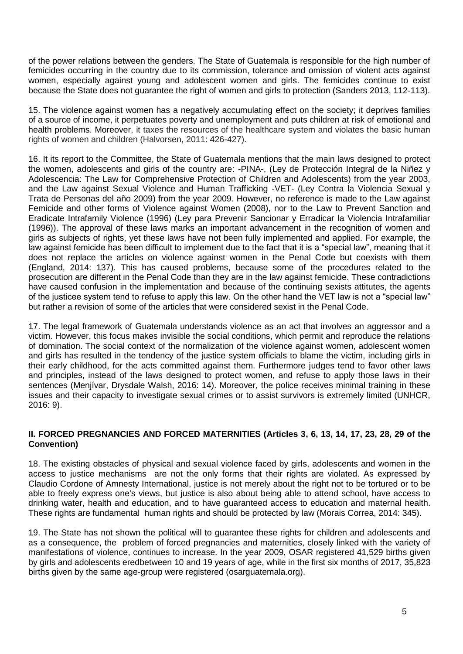of the power relations between the genders. The State of Guatemala is responsible for the high number of femicides occurring in the country due to its commission, tolerance and omission of violent acts against women, especially against young and adolescent women and girls. The femicides continue to exist because the State does not guarantee the right of women and girls to protection (Sanders 2013, 112-113).

15. The violence against women has a negatively accumulating effect on the society; it deprives families of a source of income, it perpetuates poverty and unemployment and puts children at risk of emotional and health problems. Moreover, it taxes the resources of the healthcare system and violates the basic human rights of women and children (Halvorsen, 2011: 426-427).

16. It its report to the Committee, the State of Guatemala mentions that the main laws designed to protect the women, adolescents and girls of the country are: -PINA-, (Ley de Protección Integral de la Niñez y Adolescencia: The Law for Comprehensive Protection of Children and Adolescents) from the year 2003, and the Law against Sexual Violence and Human Trafficking -VET- (Ley Contra la Violencia Sexual y Trata de Personas del año 2009) from the year 2009. However, no reference is made to the Law against Femicide and other forms of Violence against Women (2008), nor to the Law to Prevent Sanction and Eradicate Intrafamily Violence (1996) (Ley para Prevenir Sancionar y Erradicar la Violencia Intrafamiliar (1996)). The approval of these laws marks an important advancement in the recognition of women and girls as subjects of rights, yet these laws have not been fully implemented and applied. For example, the law against femicide has been difficult to implement due to the fact that it is a "special law", meaning that it does not replace the articles on violence against women in the Penal Code but coexists with them (England, 2014: 137). This has caused problems, because some of the procedures related to the prosecution are different in the Penal Code than they are in the law against femicide. These contradictions have caused confusion in the implementation and because of the continuing sexists attitutes, the agents of the justicee system tend to refuse to apply this law. On the other hand the VET law is not a "special law" but rather a revision of some of the articles that were considered sexist in the Penal Code.

17. The legal framework of Guatemala understands violence as an act that involves an aggressor and a victim. However, this focus makes invisible the social conditions, which permit and reproduce the relations of domination. The social context of the normalization of the violence against women, adolescent women and girls has resulted in the tendency of the justice system officials to blame the victim, including girls in their early childhood, for the acts committed against them. Furthermore judges tend to favor other laws and principles, instead of the laws designed to protect women, and refuse to apply those laws in their sentences (Menjívar, Drysdale Walsh, 2016: 14). Moreover, the police receives minimal training in these issues and their capacity to investigate sexual crimes or to assist survivors is extremely limited (UNHCR, 2016: 9).

### **II. FORCED PREGNANCIES AND FORCED MATERNITIES (Articles 3, 6, 13, 14, 17, 23, 28, 29 of the Convention)**

18. The existing obstacles of physical and sexual violence faced by girls, adolescents and women in the access to justice mechanisms are not the only forms that their rights are violated. As expressed by Claudio Cordone of Amnesty International, justice is not merely about the right not to be tortured or to be able to freely express one's views, but justice is also about being able to attend school, have access to drinking water, health and education, and to have guaranteed access to education and maternal health. These rights are fundamental human rights and should be protected by law (Morais Correa, 2014: 345).

19. The State has not shown the political will to guarantee these rights for children and adolescents and as a consequence, the problem of forced pregnancies and maternities, closely linked with the variety of manifestations of violence, continues to increase. In the year 2009, OSAR registered 41,529 births given by girls and adolescents eredbetween 10 and 19 years of age, while in the first six months of 2017, 35,823 births given by the same age-group were registered (osarguatemala.org).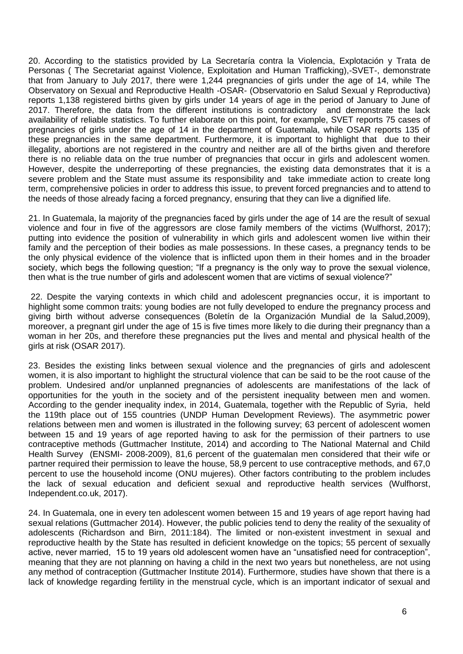20. According to the statistics provided by La Secretaría contra la Violencia, Explotación y Trata de Personas ( The Secretariat against Violence, Exploitation and Human Trafficking),-SVET-, demonstrate that from January to July 2017, there were 1,244 pregnancies of girls under the age of 14, while The Observatory on Sexual and Reproductive Health -OSAR- (Observatorio en Salud Sexual y Reproductiva) reports 1,138 registered births given by girls under 14 years of age in the period of January to June of 2017. Therefore, the data from the different institutions is contradictory and demonstrate the lack availability of reliable statistics. To further elaborate on this point, for example, SVET reports 75 cases of pregnancies of girls under the age of 14 in the department of Guatemala, while OSAR reports 135 of these pregnancies in the same department. Furthermore, it is important to highlight that due to their illegality, abortions are not registered in the country and neither are all of the births given and therefore there is no reliable data on the true number of pregnancies that occur in girls and adolescent women. However, despite the underreporting of these pregnancies, the existing data demonstrates that it is a severe problem and the State must assume its responsibility and take immediate action to create long term, comprehensive policies in order to address this issue, to prevent forced pregnancies and to attend to the needs of those already facing a forced pregnancy, ensuring that they can live a dignified life.

21. In Guatemala, la majority of the pregnancies faced by girls under the age of 14 are the result of sexual violence and four in five of the aggressors are close family members of the victims (Wulfhorst, 2017); putting into evidence the position of vulnerability in which girls and adolescent women live within their family and the perception of their bodies as male possessions. In these cases, a pregnancy tends to be the only physical evidence of the violence that is inflicted upon them in their homes and in the broader society, which begs the following question; "If a pregnancy is the only way to prove the sexual violence, then what is the true number of girls and adolescent women that are victims of sexual violence?"

22. Despite the varying contexts in which child and adolescent pregnancies occur, it is important to highlight some common traits: young bodies are not fully developed to endure the pregnancy process and giving birth without adverse consequences (Boletín de la Organización Mundial de la Salud,2009), moreover, a pregnant girl under the age of 15 is five times more likely to die during their pregnancy than a woman in her 20s, and therefore these pregnancies put the lives and mental and physical health of the girls at risk (OSAR 2017).

23. Besides the existing links between sexual violence and the pregnancies of girls and adolescent women, it is also important to highlight the structural violence that can be said to be the root cause of the problem. Undesired and/or unplanned pregnancies of adolescents are manifestations of the lack of opportunities for the youth in the society and of the persistent inequality between men and women. According to the gender inequality index, in 2014, Guatemala, together with the Republic of Syria, held the 119th place out of 155 countries (UNDP Human Development Reviews). The asymmetric power relations between men and women is illustrated in the following survey; 63 percent of adolescent women between 15 and 19 years of age reported having to ask for the permission of their partners to use contraceptive methods (Guttmacher Institute, 2014) and according to The National Maternal and Child Health Survey (ENSMI- 2008-2009), 81,6 percent of the guatemalan men considered that their wife or partner required their permission to leave the house, 58,9 percent to use contraceptive methods, and 67,0 percent to use the household income (ONU mujeres). Other factors contributing to the problem includes the lack of sexual education and deficient sexual and reproductive health services (Wulfhorst, Independent.co.uk, 2017).

24. In Guatemala, one in every ten adolescent women between 15 and 19 years of age report having had sexual relations (Guttmacher 2014). However, the public policies tend to deny the reality of the sexuality of adolescents (Richardson and Birn, 2011:184). The limited or non-existent investment in sexual and reproductive health by the State has resulted in deficient knowledge on the topics; 55 percent of sexually active, never married, 15 to 19 years old adolescent women have an "unsatisfied need for contraception", meaning that they are not planning on having a child in the next two years but nonetheless, are not using any method of contraception (Guttmacher Institute 2014). Furthermore, studies have shown that there is a lack of knowledge regarding fertility in the menstrual cycle, which is an important indicator of sexual and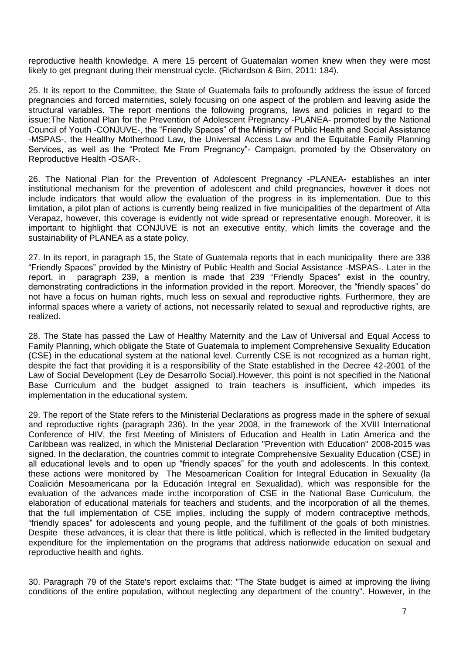reproductive health knowledge. A mere 15 percent of Guatemalan women knew when they were most likely to get pregnant during their menstrual cycle. (Richardson & Birn, 2011: 184).

25. It its report to the Committee, the State of Guatemala fails to profoundly address the issue of forced pregnancies and forced maternities, solely focusing on one aspect of the problem and leaving aside the structural variables. The report mentions the following programs, laws and policies in regard to the issue:The National Plan for the Prevention of Adolescent Pregnancy -PLANEA- promoted by the National Council of Youth -CONJUVE-, the "Friendly Spaces" of the Ministry of Public Health and Social Assistance -MSPAS-, the Healthy Motherhood Law, the Universal Access Law and the Equitable Family Planning Services, as well as the "Protect Me From Pregnancy"- Campaign, promoted by the Observatory on Reproductive Health -OSAR-.

26. The National Plan for the Prevention of Adolescent Pregnancy -PLANEA- establishes an inter institutional mechanism for the prevention of adolescent and child pregnancies, however it does not include indicators that would allow the evaluation of the progress in its implementation. Due to this limitation, a pilot plan of actions is currently being realized in five municipalities of the department of Alta Verapaz, however, this coverage is evidently not wide spread or representative enough. Moreover, it is important to highlight that CONJUVE is not an executive entity, which limits the coverage and the sustainability of PLANEA as a state policy.

27. In its report, in paragraph 15, the State of Guatemala reports that in each municipality there are 338 "Friendly Spaces" provided by the Ministry of Public Health and Social Assistance -MSPAS-. Later in the report, in paragraph 239, a mention is made that 239 "Friendly Spaces" exist in the country, demonstrating contradictions in the information provided in the report. Moreover, the "friendly spaces" do not have a focus on human rights, much less on sexual and reproductive rights. Furthermore, they are informal spaces where a variety of actions, not necessarily related to sexual and reproductive rights, are realized.

28. The State has passed the Law of Healthy Maternity and the Law of Universal and Equal Access to Family Planning, which obligate the State of Guatemala to implement Comprehensive Sexuality Education (CSE) in the educational system at the national level. Currently CSE is not recognized as a human right, despite the fact that providing it is a responsibility of the State established in the Decree 42-2001 of the Law of Social Development (Ley de Desarrollo Social).However, this point is not specified in the National Base Curriculum and the budget assigned to train teachers is insufficient, which impedes its implementation in the educational system.

29. The report of the State refers to the Ministerial Declarations as progress made in the sphere of sexual and reproductive rights (paragraph 236). In the year 2008, in the framework of the XVIII International Conference of HIV, the first Meeting of Ministers of Education and Health in Latin America and the Caribbean was realized, in which the Ministerial Declaration "Prevention with Education" 2008-2015 was signed. In the declaration, the countries commit to integrate Comprehensive Sexuality Education (CSE) in all educational levels and to open up "friendly spaces" for the youth and adolescents. In this context, these actions were monitored by The Mesoamerican Coalition for Integral Education in Sexuality (la Coalición Mesoamericana por la Educación Integral en Sexualidad), which was responsible for the evaluation of the advances made in:the incorporation of CSE in the National Base Curriculum, the elaboration of educational materials for teachers and students, and the incorporation of all the themes, that the full implementation of CSE implies, including the supply of modern contraceptive methods, "friendly spaces" for adolescents and young people, and the fulfillment of the goals of both ministries. Despite these advances, it is clear that there is little political, which is reflected in the limited budgetary expenditure for the implementation on the programs that address nationwide education on sexual and reproductive health and rights.

30. Paragraph 79 of the State's report exclaims that: "The State budget is aimed at improving the living conditions of the entire population, without neglecting any department of the country". However, in the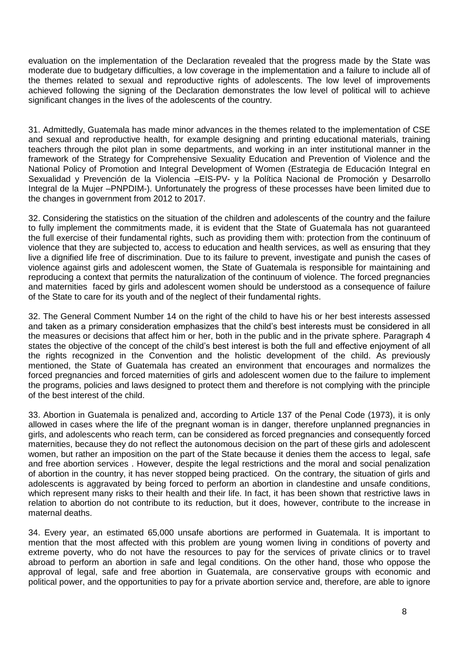evaluation on the implementation of the Declaration revealed that the progress made by the State was moderate due to budgetary difficulties, a low coverage in the implementation and a failure to include all of the themes related to sexual and reproductive rights of adolescents. The low level of improvements achieved following the signing of the Declaration demonstrates the low level of political will to achieve significant changes in the lives of the adolescents of the country.

31. Admittedly, Guatemala has made minor advances in the themes related to the implementation of CSE and sexual and reproductive health, for example designing and printing educational materials, training teachers through the pilot plan in some departments, and working in an inter institutional manner in the framework of the Strategy for Comprehensive Sexuality Education and Prevention of Violence and the National Policy of Promotion and Integral Development of Women (Estrategia de Educación Integral en Sexualidad y Prevención de la Violencia –EIS-PV- y la Política Nacional de Promoción y Desarrollo Integral de la Mujer –PNPDIM-). Unfortunately the progress of these processes have been limited due to the changes in government from 2012 to 2017.

32. Considering the statistics on the situation of the children and adolescents of the country and the failure to fully implement the commitments made, it is evident that the State of Guatemala has not guaranteed the full exercise of their fundamental rights, such as providing them with: protection from the continuum of violence that they are subjected to, access to education and health services, as well as ensuring that they live a dignified life free of discrimination. Due to its failure to prevent, investigate and punish the cases of violence against girls and adolescent women, the State of Guatemala is responsible for maintaining and reproducing a context that permits the naturalization of the continuum of violence. The forced pregnancies and maternities faced by girls and adolescent women should be understood as a consequence of failure of the State to care for its youth and of the neglect of their fundamental rights.

32. The General Comment Number 14 on the right of the child to have his or her best interests assessed and taken as a primary consideration emphasizes that the child's best interests must be considered in all the measures or decisions that affect him or her, both in the public and in the private sphere. Paragraph 4 states the objective of the concept of the child's best interest is both the full and effective enjoyment of all the rights recognized in the Convention and the holistic development of the child. As previously mentioned, the State of Guatemala has created an environment that encourages and normalizes the forced pregnancies and forced maternities of girls and adolescent women due to the failure to implement the programs, policies and laws designed to protect them and therefore is not complying with the principle of the best interest of the child.

33. Abortion in Guatemala is penalized and, according to Article 137 of the Penal Code (1973), it is only allowed in cases where the life of the pregnant woman is in danger, therefore unplanned pregnancies in girls, and adolescents who reach term, can be considered as forced pregnancies and consequently forced maternities, because they do not reflect the autonomous decision on the part of these girls and adolescent women, but rather an imposition on the part of the State because it denies them the access to legal, safe and free abortion services . However, despite the legal restrictions and the moral and social penalization of abortion in the country, it has never stopped being practiced. On the contrary, the situation of girls and adolescents is aggravated by being forced to perform an abortion in clandestine and unsafe conditions, which represent many risks to their health and their life. In fact, it has been shown that restrictive laws in relation to abortion do not contribute to its reduction, but it does, however, contribute to the increase in maternal deaths.

34. Every year, an estimated 65,000 unsafe abortions are performed in Guatemala. It is important to mention that the most affected with this problem are young women living in conditions of poverty and extreme poverty, who do not have the resources to pay for the services of private clinics or to travel abroad to perform an abortion in safe and legal conditions. On the other hand, those who oppose the approval of legal, safe and free abortion in Guatemala, are conservative groups with economic and political power, and the opportunities to pay for a private abortion service and, therefore, are able to ignore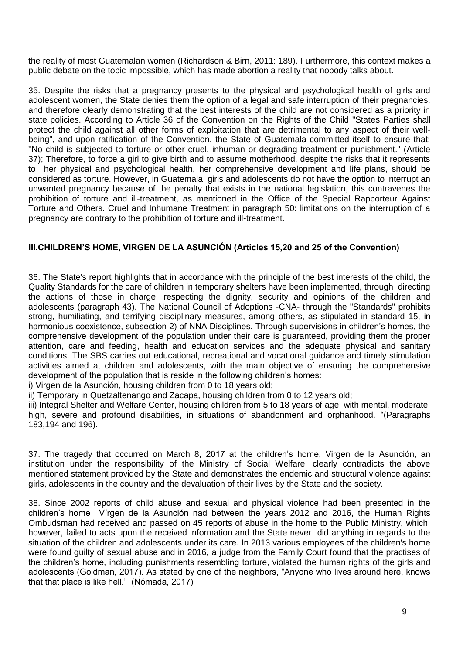the reality of most Guatemalan women (Richardson & Birn, 2011: 189). Furthermore, this context makes a public debate on the topic impossible, which has made abortion a reality that nobody talks about.

35. Despite the risks that a pregnancy presents to the physical and psychological health of girls and adolescent women, the State denies them the option of a legal and safe interruption of their pregnancies, and therefore clearly demonstrating that the best interests of the child are not considered as a priority in state policies. According to Article 36 of the Convention on the Rights of the Child "States Parties shall protect the child against all other forms of exploitation that are detrimental to any aspect of their wellbeing", and upon ratification of the Convention, the State of Guatemala committed itself to ensure that: "No child is subjected to torture or other cruel, inhuman or degrading treatment or punishment." (Article 37); Therefore, to force a girl to give birth and to assume motherhood, despite the risks that it represents to her physical and psychological health, her comprehensive development and life plans, should be considered as torture. However, in Guatemala, girls and adolescents do not have the option to interrupt an unwanted pregnancy because of the penalty that exists in the national legislation, this contravenes the prohibition of torture and ill-treatment, as mentioned in the Office of the Special Rapporteur Against Torture and Others. Cruel and Inhumane Treatment in paragraph 50: limitations on the interruption of a pregnancy are contrary to the prohibition of torture and ill-treatment.

### **III.CHILDREN'S HOME, VIRGEN DE LA ASUNCIÓN (Articles 15,20 and 25 of the Convention)**

36. The State's report highlights that in accordance with the principle of the best interests of the child, the Quality Standards for the care of children in temporary shelters have been implemented, through directing the actions of those in charge, respecting the dignity, security and opinions of the children and adolescents (paragraph 43). The National Council of Adoptions -CNA- through the "Standards" prohibits strong, humiliating, and terrifying disciplinary measures, among others, as stipulated in standard 15, in harmonious coexistence, subsection 2) of NNA Disciplines. Through supervisions in children's homes, the comprehensive development of the population under their care is guaranteed, providing them the proper attention, care and feeding, health and education services and the adequate physical and sanitary conditions. The SBS carries out educational, recreational and vocational guidance and timely stimulation activities aimed at children and adolescents, with the main objective of ensuring the comprehensive development of the population that is reside in the following children's homes:

i) Virgen de la Asunción, housing children from 0 to 18 years old;

ii) Temporary in Quetzaltenango and Zacapa, housing children from 0 to 12 years old;

iii) Integral Shelter and Welfare Center, housing children from 5 to 18 years of age, with mental, moderate, high, severe and profound disabilities, in situations of abandonment and orphanhood. "(Paragraphs 183,194 and 196).

37. The tragedy that occurred on March 8, 2017 at the children's home, Virgen de la Asunción, an institution under the responsibility of the Ministry of Social Welfare, clearly contradicts the above mentioned statement provided by the State and demonstrates the endemic and structural violence against girls, adolescents in the country and the devaluation of their lives by the State and the society.

38. Since 2002 reports of child abuse and sexual and physical violence had been presented in the children's home Vírgen de la Asunción nad between the years 2012 and 2016, the Human Rights Ombudsman had received and passed on 45 reports of abuse in the home to the Public Ministry, which, however, failed to acts upon the received information and the State never did anything in regards to the situation of the children and adolescents under its care. In 2013 various employees of the children's home were found guilty of sexual abuse and in 2016, a judge from the Family Court found that the practises of the children's home, including punishments resembling torture, violated the human rights of the girls and adolescents (Goldman, 2017). As stated by one of the neighbors, "Anyone who lives around here, knows that that place is like hell." (Nómada, 2017)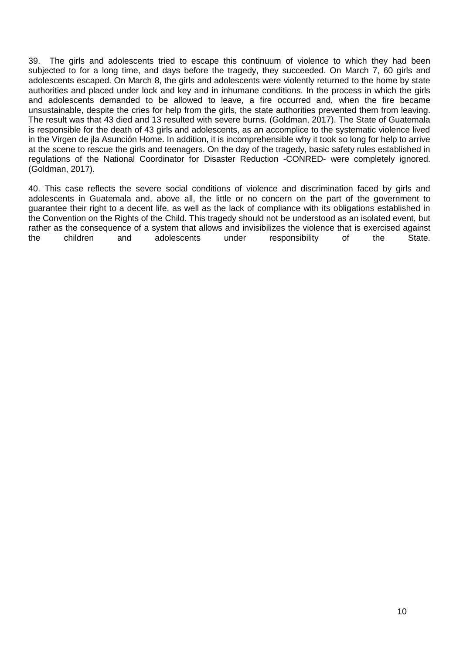39. The girls and adolescents tried to escape this continuum of violence to which they had been subjected to for a long time, and days before the tragedy, they succeeded. On March 7, 60 girls and adolescents escaped. On March 8, the girls and adolescents were violently returned to the home by state authorities and placed under lock and key and in inhumane conditions. In the process in which the girls and adolescents demanded to be allowed to leave, a fire occurred and, when the fire became unsustainable, despite the cries for help from the girls, the state authorities prevented them from leaving. The result was that 43 died and 13 resulted with severe burns. (Goldman, 2017). The State of Guatemala is responsible for the death of 43 girls and adolescents, as an accomplice to the systematic violence lived in the Virgen de jla Asunción Home. In addition, it is incomprehensible why it took so long for help to arrive at the scene to rescue the girls and teenagers. On the day of the tragedy, basic safety rules established in regulations of the National Coordinator for Disaster Reduction -CONRED- were completely ignored. (Goldman, 2017).

40. This case reflects the severe social conditions of violence and discrimination faced by girls and adolescents in Guatemala and, above all, the little or no concern on the part of the government to guarantee their right to a decent life, as well as the lack of compliance with its obligations established in the Convention on the Rights of the Child. This tragedy should not be understood as an isolated event, but rather as the consequence of a system that allows and invisibilizes the violence that is exercised against the children and adolescents under responsibility of the State.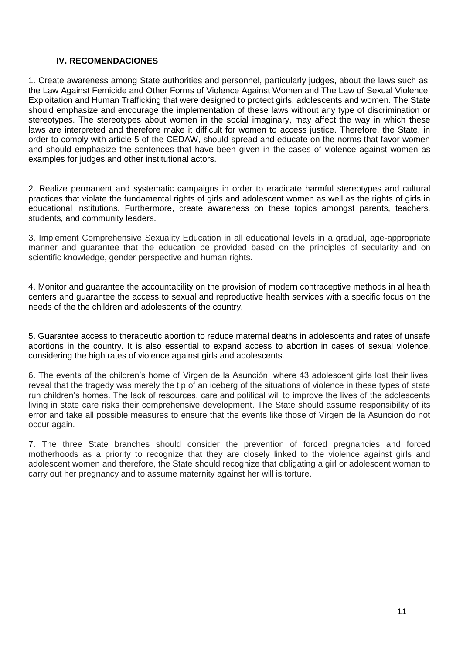#### **IV. RECOMENDACIONES**

1. Create awareness among State authorities and personnel, particularly judges, about the laws such as, the Law Against Femicide and Other Forms of Violence Against Women and The Law of Sexual Violence, Exploitation and Human Trafficking that were designed to protect girls, adolescents and women. The State should emphasize and encourage the implementation of these laws without any type of discrimination or stereotypes. The stereotypes about women in the social imaginary, may affect the way in which these laws are interpreted and therefore make it difficult for women to access justice. Therefore, the State, in order to comply with article 5 of the CEDAW, should spread and educate on the norms that favor women and should emphasize the sentences that have been given in the cases of violence against women as examples for judges and other institutional actors.

2. Realize permanent and systematic campaigns in order to eradicate harmful stereotypes and cultural practices that violate the fundamental rights of girls and adolescent women as well as the rights of girls in educational institutions. Furthermore, create awareness on these topics amongst parents, teachers, students, and community leaders.

3. Implement Comprehensive Sexuality Education in all educational levels in a gradual, age-appropriate manner and guarantee that the education be provided based on the principles of secularity and on scientific knowledge, gender perspective and human rights.

4. Monitor and guarantee the accountability on the provision of modern contraceptive methods in al health centers and guarantee the access to sexual and reproductive health services with a specific focus on the needs of the the children and adolescents of the country.

5. Guarantee access to therapeutic abortion to reduce maternal deaths in adolescents and rates of unsafe abortions in the country. It is also essential to expand access to abortion in cases of sexual violence, considering the high rates of violence against girls and adolescents.

6. The events of the children's home of Virgen de la Asunción, where 43 adolescent girls lost their lives, reveal that the tragedy was merely the tip of an iceberg of the situations of violence in these types of state run children's homes. The lack of resources, care and political will to improve the lives of the adolescents living in state care risks their comprehensive development. The State should assume responsibility of its error and take all possible measures to ensure that the events like those of Virgen de la Asuncion do not occur again.

7. The three State branches should consider the prevention of forced pregnancies and forced motherhoods as a priority to recognize that they are closely linked to the violence against girls and adolescent women and therefore, the State should recognize that obligating a girl or adolescent woman to carry out her pregnancy and to assume maternity against her will is torture.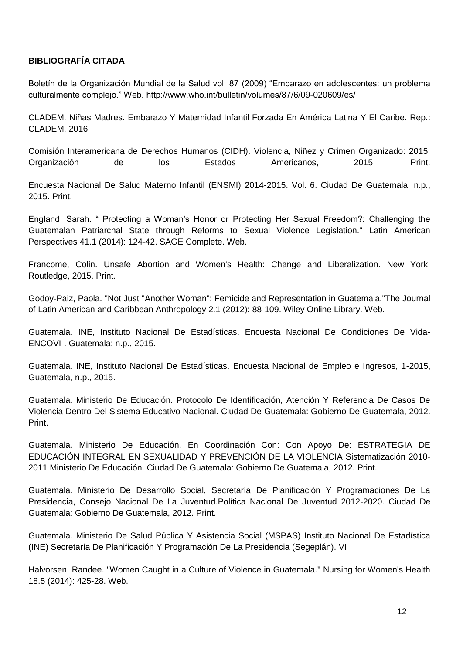## **BIBLIOGRAFÍA CITADA**

Boletín de la Organización Mundial de la Salud vol. 87 (2009) "Embarazo en adolescentes: un problema culturalmente complejo." Web. http://www.who.int/bulletin/volumes/87/6/09-020609/es/

CLADEM. Niñas Madres. Embarazo Y Maternidad Infantil Forzada En América Latina Y El Caribe. Rep.: CLADEM, 2016.

Comisión Interamericana de Derechos Humanos (CIDH). Violencia, Niñez y Crimen Organizado: 2015, Organización de los Estados Americanos, 2015. Print.

Encuesta Nacional De Salud Materno Infantil (ENSMI) 2014-2015. Vol. 6. Ciudad De Guatemala: n.p., 2015. Print.

England, Sarah. " Protecting a Woman's Honor or Protecting Her Sexual Freedom?: Challenging the Guatemalan Patriarchal State through Reforms to Sexual Violence Legislation." Latin American Perspectives 41.1 (2014): 124-42. SAGE Complete. Web.

Francome, Colin. Unsafe Abortion and Women's Health: Change and Liberalization. New York: Routledge, 2015. Print.

Godoy-Paiz, Paola. "Not Just "Another Woman": Femicide and Representation in Guatemala."The Journal of Latin American and Caribbean Anthropology 2.1 (2012): 88-109. Wiley Online Library. Web.

Guatemala. INE, Instituto Nacional De Estadísticas. Encuesta Nacional De Condiciones De Vida-ENCOVI-. Guatemala: n.p., 2015.

Guatemala. INE, Instituto Nacional De Estadísticas. Encuesta Nacional de Empleo e Ingresos, 1-2015, Guatemala, n.p., 2015.

Guatemala. Ministerio De Educación. Protocolo De Identificación, Atención Y Referencia De Casos De Violencia Dentro Del Sistema Educativo Nacional. Ciudad De Guatemala: Gobierno De Guatemala, 2012. Print.

Guatemala. Ministerio De Educación. En Coordinación Con: Con Apoyo De: ESTRATEGIA DE EDUCACIÓN INTEGRAL EN SEXUALIDAD Y PREVENCIÓN DE LA VIOLENCIA Sistematización 2010- 2011 Ministerio De Educación. Ciudad De Guatemala: Gobierno De Guatemala, 2012. Print.

Guatemala. Ministerio De Desarrollo Social, Secretaría De Planificación Y Programaciones De La Presidencia, Consejo Nacional De La Juventud.Política Nacional De Juventud 2012-2020. Ciudad De Guatemala: Gobierno De Guatemala, 2012. Print.

Guatemala. Ministerio De Salud Pública Y Asistencia Social (MSPAS) Instituto Nacional De Estadística (INE) Secretaría De Planificación Y Programación De La Presidencia (Segeplán). VI

Halvorsen, Randee. "Women Caught in a Culture of Violence in Guatemala." Nursing for Women's Health 18.5 (2014): 425-28. Web.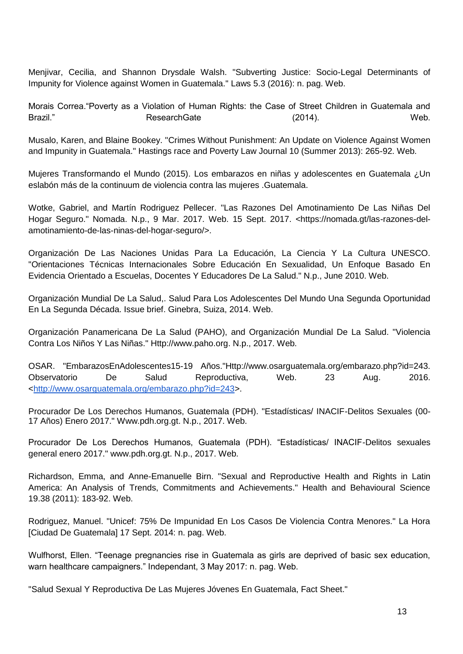Menjivar, Cecilia, and Shannon Drysdale Walsh. "Subverting Justice: Socio-Legal Determinants of Impunity for Violence against Women in Guatemala." Laws 5.3 (2016): n. pag. Web.

Morais Correa."Poverty as a Violation of Human Rights: the Case of Street Children in Guatemala and Brazil." ResearchGate (2014). Web.

Musalo, Karen, and Blaine Bookey. "Crimes Without Punishment: An Update on Violence Against Women and Impunity in Guatemala." Hastings race and Poverty Law Journal 10 (Summer 2013): 265-92. Web.

Mujeres Transformando el Mundo (2015). Los embarazos en niñas y adolescentes en Guatemala ¿Un eslabón más de la continuum de violencia contra las mujeres .Guatemala.

Wotke, Gabriel, and Martín Rodriguez Pellecer. "Las Razones Del Amotinamiento De Las Niñas Del Hogar Seguro." Nomada. N.p., 9 Mar. 2017. Web. 15 Sept. 2017. <https://nomada.gt/las-razones-delamotinamiento-de-las-ninas-del-hogar-seguro/>.

Organización De Las Naciones Unidas Para La Educación, La Ciencia Y La Cultura UNESCO. "Orientaciones Técnicas Internacionales Sobre Educación En Sexualidad, Un Enfoque Basado En Evidencia Orientado a Escuelas, Docentes Y Educadores De La Salud." N.p., June 2010. Web.

Organización Mundial De La Salud,. Salud Para Los Adolescentes Del Mundo Una Segunda Oportunidad En La Segunda Década. Issue brief. Ginebra, Suiza, 2014. Web.

Organización Panamericana De La Salud (PAHO), and Organización Mundial De La Salud. "Violencia Contra Los Niños Y Las Niñas." Http://www.paho.org. N.p., 2017. Web.

OSAR. "EmbarazosEnAdolescentes15-19 Años."Http://www.osarguatemala.org/embarazo.php?id=243. Observatorio De Salud Reproductiva, Web. 23 Aug. 2016. [<http://www.osarguatemala.org/embarazo.php?id=243>](http://www.osarguatemala.org/embarazo.php?id=243).

Procurador De Los Derechos Humanos, Guatemala (PDH). "Estadísticas/ INACIF-Delitos Sexuales (00- 17 Años) Enero 2017." Www.pdh.org.gt. N.p., 2017. Web.

Procurador De Los Derechos Humanos, Guatemala (PDH). "Estadísticas/ INACIF-Delitos sexuales general enero 2017." www.pdh.org.gt. N.p., 2017. Web.

Richardson, Emma, and Anne-Emanuelle Birn. "Sexual and Reproductive Health and Rights in Latin America: An Analysis of Trends, Commitments and Achievements." Health and Behavioural Science 19.38 (2011): 183-92. Web.

Rodriguez, Manuel. "Unicef: 75% De Impunidad En Los Casos De Violencia Contra Menores." La Hora [Ciudad De Guatemala] 17 Sept. 2014: n. pag. Web.

Wulfhorst, Ellen. "Teenage pregnancies rise in Guatemala as girls are deprived of basic sex education, warn healthcare campaigners." Independant, 3 May 2017: n. pag. Web.

"Salud Sexual Y Reproductiva De Las Mujeres Jóvenes En Guatemala, Fact Sheet."